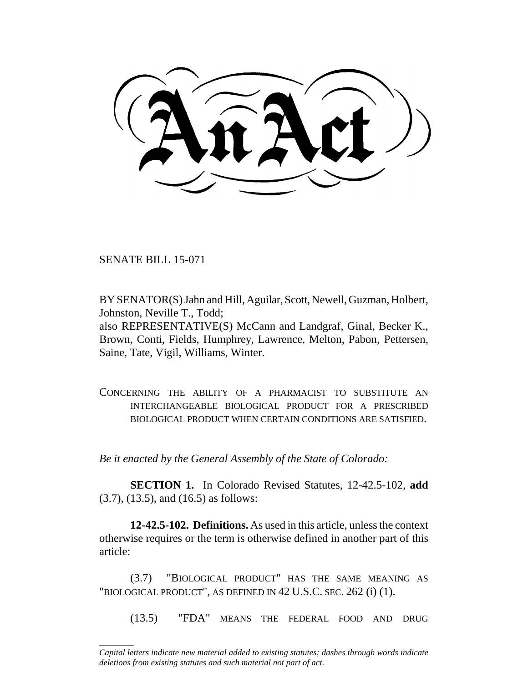SENATE BILL 15-071

\_\_\_\_\_\_\_\_

BY SENATOR(S) Jahn and Hill, Aguilar, Scott, Newell, Guzman, Holbert, Johnston, Neville T., Todd;

also REPRESENTATIVE(S) McCann and Landgraf, Ginal, Becker K., Brown, Conti, Fields, Humphrey, Lawrence, Melton, Pabon, Pettersen, Saine, Tate, Vigil, Williams, Winter.

CONCERNING THE ABILITY OF A PHARMACIST TO SUBSTITUTE AN INTERCHANGEABLE BIOLOGICAL PRODUCT FOR A PRESCRIBED BIOLOGICAL PRODUCT WHEN CERTAIN CONDITIONS ARE SATISFIED.

*Be it enacted by the General Assembly of the State of Colorado:*

**SECTION 1.** In Colorado Revised Statutes, 12-42.5-102, **add** (3.7), (13.5), and (16.5) as follows:

**12-42.5-102. Definitions.** As used in this article, unless the context otherwise requires or the term is otherwise defined in another part of this article:

(3.7) "BIOLOGICAL PRODUCT" HAS THE SAME MEANING AS "BIOLOGICAL PRODUCT", AS DEFINED IN 42 U.S.C. SEC. 262 (i) (1).

(13.5) "FDA" MEANS THE FEDERAL FOOD AND DRUG

*Capital letters indicate new material added to existing statutes; dashes through words indicate deletions from existing statutes and such material not part of act.*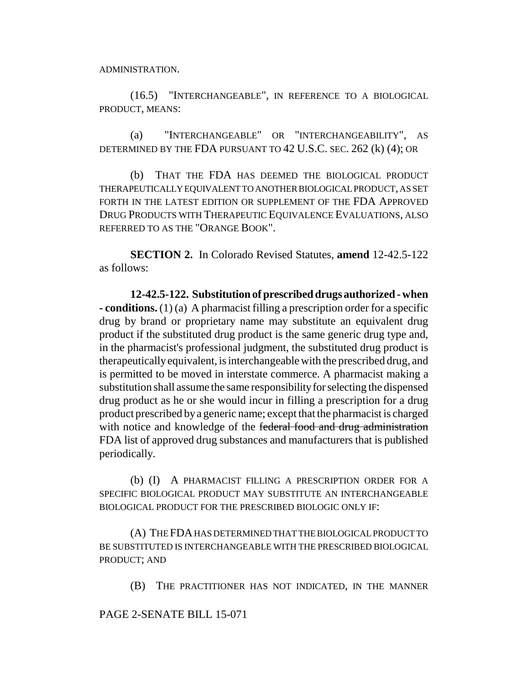ADMINISTRATION.

(16.5) "INTERCHANGEABLE", IN REFERENCE TO A BIOLOGICAL PRODUCT, MEANS:

(a) "INTERCHANGEABLE" OR "INTERCHANGEABILITY", AS DETERMINED BY THE FDA PURSUANT TO 42 U.S.C. SEC. 262 (k) (4); OR

(b) THAT THE FDA HAS DEEMED THE BIOLOGICAL PRODUCT THERAPEUTICALLY EQUIVALENT TO ANOTHER BIOLOGICAL PRODUCT, AS SET FORTH IN THE LATEST EDITION OR SUPPLEMENT OF THE FDA APPROVED DRUG PRODUCTS WITH THERAPEUTIC EQUIVALENCE EVALUATIONS, ALSO REFERRED TO AS THE "ORANGE BOOK".

**SECTION 2.** In Colorado Revised Statutes, **amend** 12-42.5-122 as follows:

**12-42.5-122. Substitution of prescribed drugs authorized - when - conditions.** (1) (a) A pharmacist filling a prescription order for a specific drug by brand or proprietary name may substitute an equivalent drug product if the substituted drug product is the same generic drug type and, in the pharmacist's professional judgment, the substituted drug product is therapeutically equivalent, is interchangeable with the prescribed drug, and is permitted to be moved in interstate commerce. A pharmacist making a substitution shall assume the same responsibility for selecting the dispensed drug product as he or she would incur in filling a prescription for a drug product prescribed by a generic name; except that the pharmacist is charged with notice and knowledge of the federal food and drug administration FDA list of approved drug substances and manufacturers that is published periodically.

(b) (I) A PHARMACIST FILLING A PRESCRIPTION ORDER FOR A SPECIFIC BIOLOGICAL PRODUCT MAY SUBSTITUTE AN INTERCHANGEABLE BIOLOGICAL PRODUCT FOR THE PRESCRIBED BIOLOGIC ONLY IF:

(A) THE FDA HAS DETERMINED THAT THE BIOLOGICAL PRODUCT TO BE SUBSTITUTED IS INTERCHANGEABLE WITH THE PRESCRIBED BIOLOGICAL PRODUCT; AND

(B) THE PRACTITIONER HAS NOT INDICATED, IN THE MANNER

## PAGE 2-SENATE BILL 15-071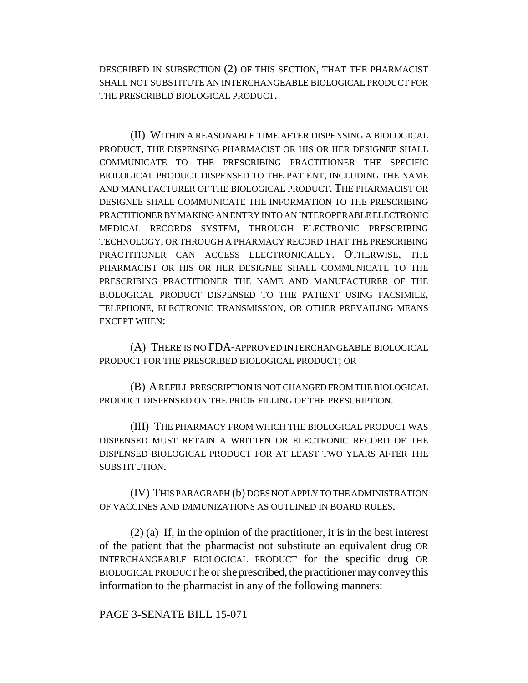DESCRIBED IN SUBSECTION (2) OF THIS SECTION, THAT THE PHARMACIST SHALL NOT SUBSTITUTE AN INTERCHANGEABLE BIOLOGICAL PRODUCT FOR THE PRESCRIBED BIOLOGICAL PRODUCT.

(II) WITHIN A REASONABLE TIME AFTER DISPENSING A BIOLOGICAL PRODUCT, THE DISPENSING PHARMACIST OR HIS OR HER DESIGNEE SHALL COMMUNICATE TO THE PRESCRIBING PRACTITIONER THE SPECIFIC BIOLOGICAL PRODUCT DISPENSED TO THE PATIENT, INCLUDING THE NAME AND MANUFACTURER OF THE BIOLOGICAL PRODUCT. THE PHARMACIST OR DESIGNEE SHALL COMMUNICATE THE INFORMATION TO THE PRESCRIBING PRACTITIONER BY MAKING AN ENTRY INTO AN INTEROPERABLE ELECTRONIC MEDICAL RECORDS SYSTEM, THROUGH ELECTRONIC PRESCRIBING TECHNOLOGY, OR THROUGH A PHARMACY RECORD THAT THE PRESCRIBING PRACTITIONER CAN ACCESS ELECTRONICALLY. OTHERWISE, THE PHARMACIST OR HIS OR HER DESIGNEE SHALL COMMUNICATE TO THE PRESCRIBING PRACTITIONER THE NAME AND MANUFACTURER OF THE BIOLOGICAL PRODUCT DISPENSED TO THE PATIENT USING FACSIMILE, TELEPHONE, ELECTRONIC TRANSMISSION, OR OTHER PREVAILING MEANS EXCEPT WHEN:

(A) THERE IS NO FDA-APPROVED INTERCHANGEABLE BIOLOGICAL PRODUCT FOR THE PRESCRIBED BIOLOGICAL PRODUCT; OR

(B) A REFILL PRESCRIPTION IS NOT CHANGED FROM THE BIOLOGICAL PRODUCT DISPENSED ON THE PRIOR FILLING OF THE PRESCRIPTION.

(III) THE PHARMACY FROM WHICH THE BIOLOGICAL PRODUCT WAS DISPENSED MUST RETAIN A WRITTEN OR ELECTRONIC RECORD OF THE DISPENSED BIOLOGICAL PRODUCT FOR AT LEAST TWO YEARS AFTER THE SUBSTITUTION.

(IV) THIS PARAGRAPH (b) DOES NOT APPLY TO THE ADMINISTRATION OF VACCINES AND IMMUNIZATIONS AS OUTLINED IN BOARD RULES.

(2) (a) If, in the opinion of the practitioner, it is in the best interest of the patient that the pharmacist not substitute an equivalent drug OR INTERCHANGEABLE BIOLOGICAL PRODUCT for the specific drug OR BIOLOGICAL PRODUCT he or she prescribed, the practitioner may convey this information to the pharmacist in any of the following manners:

PAGE 3-SENATE BILL 15-071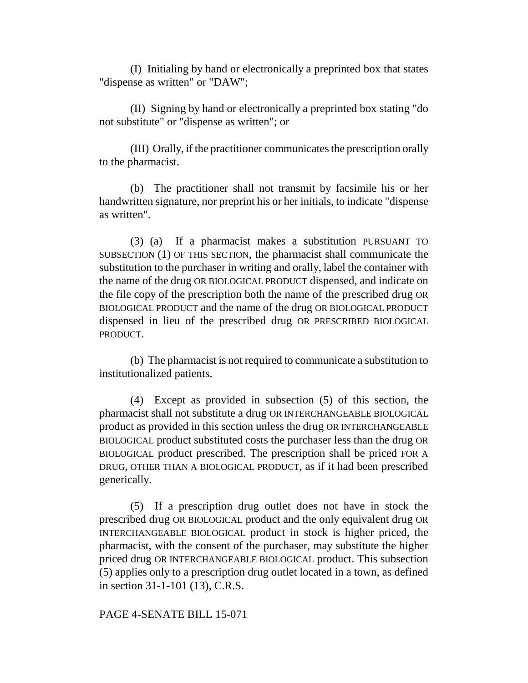(I) Initialing by hand or electronically a preprinted box that states "dispense as written" or "DAW";

(II) Signing by hand or electronically a preprinted box stating "do not substitute" or "dispense as written"; or

(III) Orally, if the practitioner communicates the prescription orally to the pharmacist.

(b) The practitioner shall not transmit by facsimile his or her handwritten signature, nor preprint his or her initials, to indicate "dispense as written".

(3) (a) If a pharmacist makes a substitution PURSUANT TO SUBSECTION (1) OF THIS SECTION, the pharmacist shall communicate the substitution to the purchaser in writing and orally, label the container with the name of the drug OR BIOLOGICAL PRODUCT dispensed, and indicate on the file copy of the prescription both the name of the prescribed drug OR BIOLOGICAL PRODUCT and the name of the drug OR BIOLOGICAL PRODUCT dispensed in lieu of the prescribed drug OR PRESCRIBED BIOLOGICAL PRODUCT.

(b) The pharmacist is not required to communicate a substitution to institutionalized patients.

(4) Except as provided in subsection (5) of this section, the pharmacist shall not substitute a drug OR INTERCHANGEABLE BIOLOGICAL product as provided in this section unless the drug OR INTERCHANGEABLE BIOLOGICAL product substituted costs the purchaser less than the drug OR BIOLOGICAL product prescribed. The prescription shall be priced FOR A DRUG, OTHER THAN A BIOLOGICAL PRODUCT, as if it had been prescribed generically.

(5) If a prescription drug outlet does not have in stock the prescribed drug OR BIOLOGICAL product and the only equivalent drug OR INTERCHANGEABLE BIOLOGICAL product in stock is higher priced, the pharmacist, with the consent of the purchaser, may substitute the higher priced drug OR INTERCHANGEABLE BIOLOGICAL product. This subsection (5) applies only to a prescription drug outlet located in a town, as defined in section 31-1-101 (13), C.R.S.

## PAGE 4-SENATE BILL 15-071